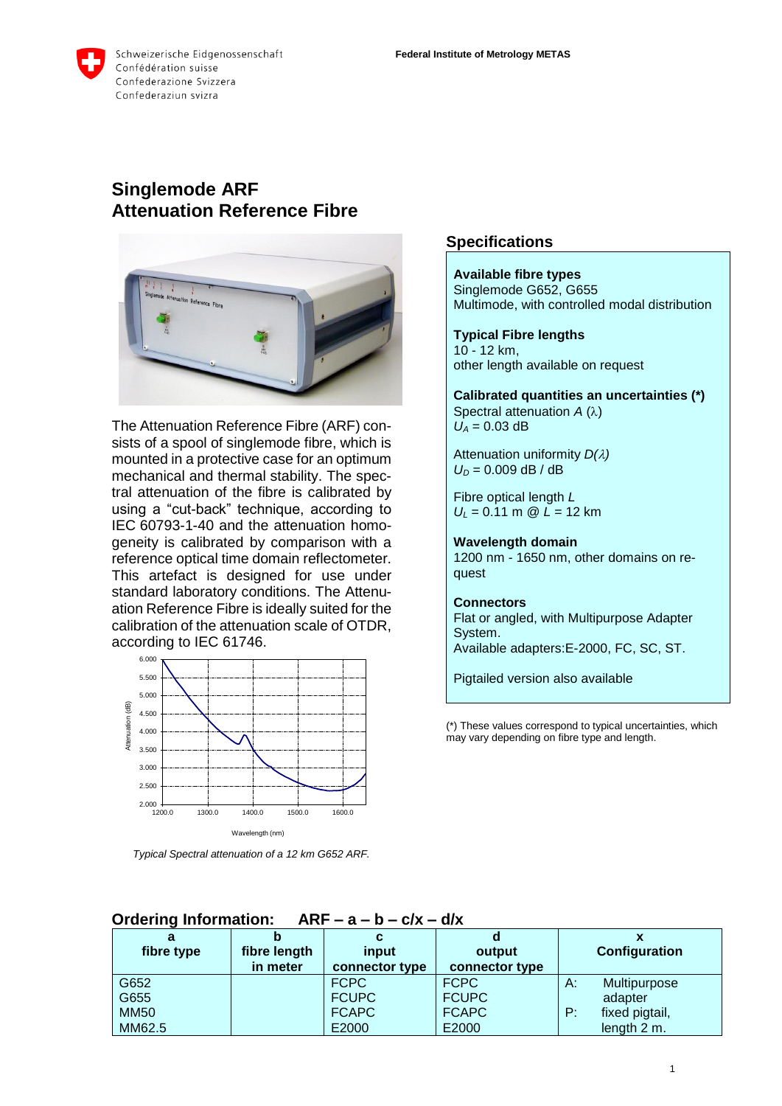

# **Singlemode ARF Attenuation Reference Fibre**



The Attenuation Reference Fibre (ARF) consists of a spool of singlemode fibre, which is mounted in a protective case for an optimum mechanical and thermal stability. The spectral attenuation of the fibre is calibrated by using a "cut-back" technique, according to IEC 60793-1-40 and the attenuation homogeneity is calibrated by comparison with a reference optical time domain reflectometer. This artefact is designed for use under standard laboratory conditions. The Attenuation Reference Fibre is ideally suited for the calibration of the attenuation scale of OTDR, according to IEC 61746.



*Typical Spectral attenuation of a 12 km G652 ARF.*

### **Specifications**

**Available fibre types** Singlemode G652, G655 Multimode, with controlled modal distribution

**Typical Fibre lengths** 10 - 12 km, other length available on request

**Calibrated quantities an uncertainties (\*)** Spectral attenuation  $A(\lambda)$  $U_A = 0.03$  dB

Attenuation uniformity *D()*  $U_0 = 0.009$  dB / dB

Fibre optical length *L U<sup>L</sup>* = 0.11 m @ *L* = 12 km

**Wavelength domain** 1200 nm - 1650 nm, other domains on request

#### **Connectors**

Flat or angled, with Multipurpose Adapter System. Available adapters:E-2000, FC, SC, ST.

Pigtailed version also available

(\*) These values correspond to typical uncertainties, which may vary depending on fibre type and length.

| a           |              |                |                |               |                |
|-------------|--------------|----------------|----------------|---------------|----------------|
| fibre type  | fibre length | input          | output         | Configuration |                |
|             | in meter     | connector type | connector type |               |                |
| G652        |              | <b>FCPC</b>    | <b>FCPC</b>    | А:            | Multipurpose   |
| G655        |              | <b>FCUPC</b>   | <b>FCUPC</b>   |               | adapter        |
| <b>MM50</b> |              | <b>FCAPC</b>   | <b>FCAPC</b>   | P:            | fixed pigtail, |
| MM62.5      |              | E2000          | E2000          |               | length 2 m.    |

### **Ordering Information: ARF – a – b – c/x – d/x**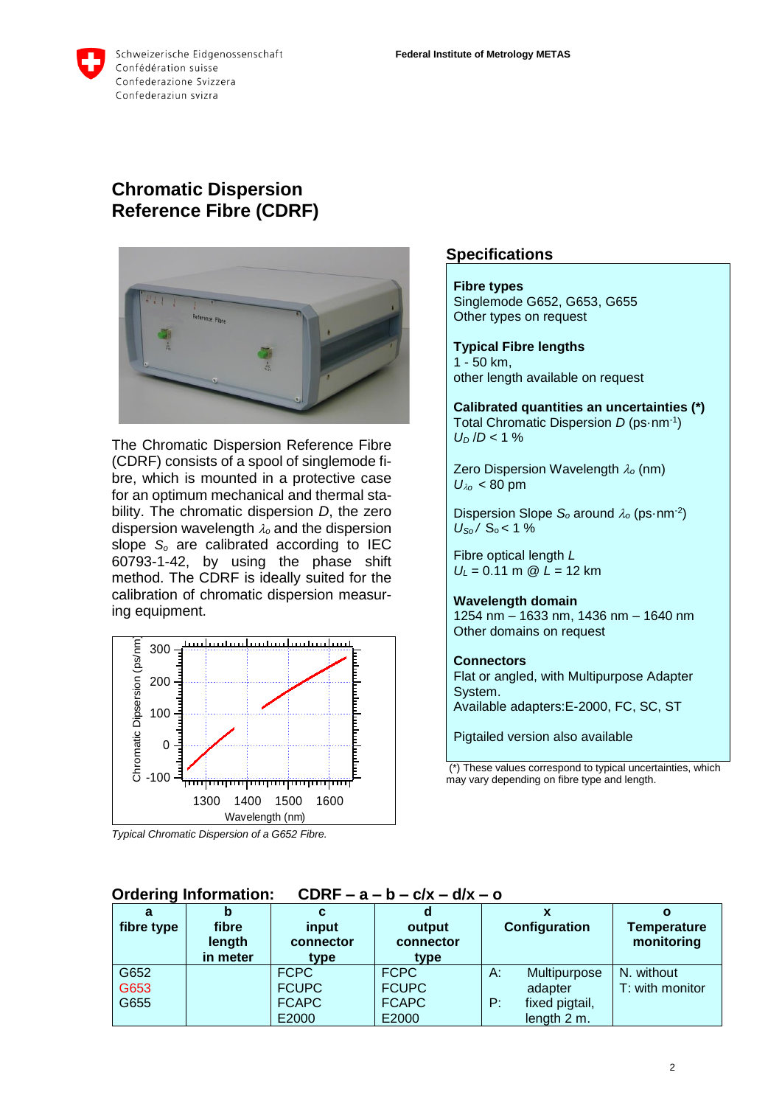

Schweizerische Eidgenossenschaft Confédération suisse Confederazione Svizzera Confederaziun svizra

# **Chromatic Dispersion Reference Fibre (CDRF)**



The Chromatic Dispersion Reference Fibre (CDRF) consists of a spool of singlemode fibre, which is mounted in a protective case for an optimum mechanical and thermal stability. The chromatic dispersion *D*, the zero dispersion wavelength  $\lambda_o$  and the dispersion slope *S<sup>o</sup>* are calibrated according to IEC 60793-1-42, by using the phase shift method. The CDRF is ideally suited for the calibration of chromatic dispersion measuring equipment.



*Typical Chromatic Dispersion of a G652 Fibre.*

### **Specifications**

**Fibre types** Singlemode G652, G653, G655 Other types on request

**Typical Fibre lengths** 1 - 50 km, other length available on request

**Calibrated quantities an uncertainties (\*)** Total Chromatic Dispersion *D* (ps·nm-1 )  $U_D$  /*D* < 1 %

Zero Dispersion Wavelength  $\lambda_0$  (nm)  $U_{\lambda_0}$  < 80 pm

Dispersion Slope  $S_0$  around  $\lambda_0$  (ps $\cdot$ nm<sup>-2</sup>)  $U_{\text{So}}$  /  $S_0$  < 1 %

Fibre optical length *L U<sup>L</sup>* = 0.11 m @ *L* = 12 km

**Wavelength domain** 1254 nm – 1633 nm, 1436 nm – 1640 nm Other domains on request

#### **Connectors**

Flat or angled, with Multipurpose Adapter System. Available adapters:E-2000, FC, SC, ST

Pigtailed version also available

(\*) These values correspond to typical uncertainties, which may vary depending on fibre type and length.

| a<br>fibre type | b<br>fibre<br>length<br>in meter | c<br>input<br>connector<br>type | d<br>output<br>connector<br>type |    | Configuration  | Ο<br><b>Temperature</b><br>monitoring |
|-----------------|----------------------------------|---------------------------------|----------------------------------|----|----------------|---------------------------------------|
| G652            |                                  | <b>FCPC</b>                     | <b>FCPC</b>                      | A: | Multipurpose   | N. without                            |
| G653            |                                  | <b>FCUPC</b>                    | <b>FCUPC</b>                     |    | adapter        | T: with monitor                       |
| G655            |                                  | <b>FCAPC</b>                    | <b>FCAPC</b>                     | P: | fixed pigtail, |                                       |
|                 |                                  | E2000                           | E2000                            |    | length 2 m.    |                                       |

# **Ordering Information: CDRF – a – b – c/x – d/x – o**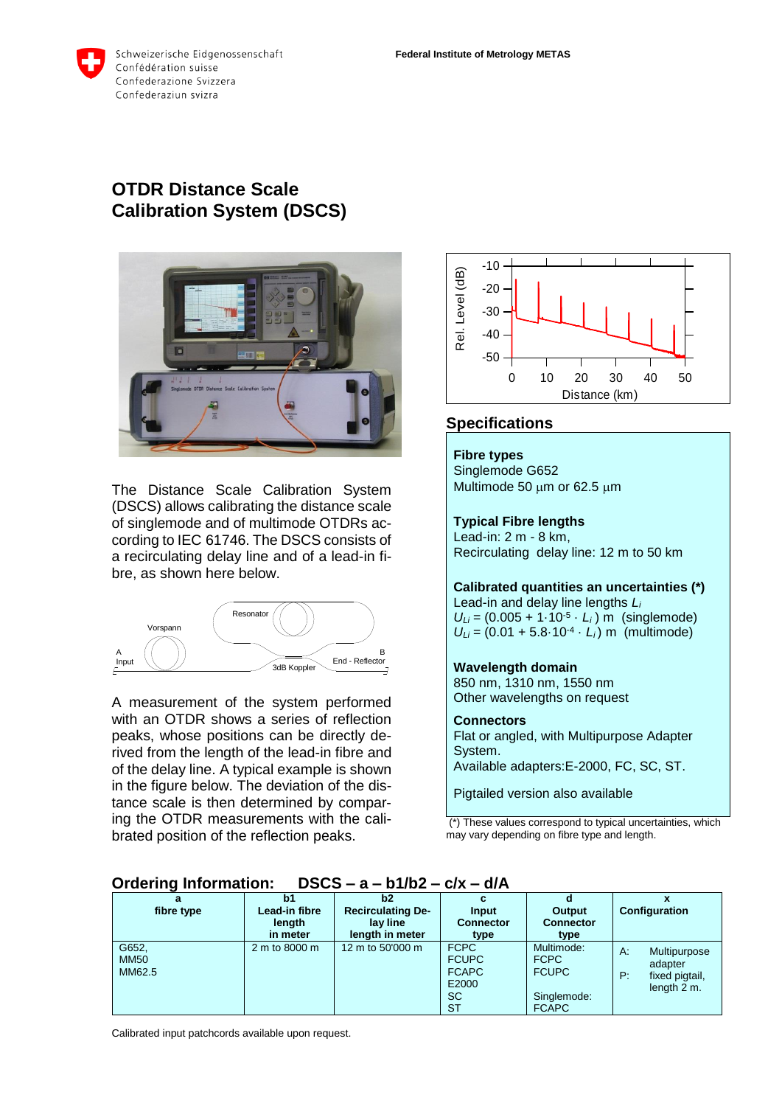

# **OTDR Distance Scale Calibration System (DSCS)**



The Distance Scale Calibration System (DSCS) allows calibrating the distance scale of singlemode and of multimode OTDRs according to IEC 61746. The DSCS consists of a recirculating delay line and of a lead-in fibre, as shown here below.



A measurement of the system performed with an OTDR shows a series of reflection peaks, whose positions can be directly derived from the length of the lead-in fibre and of the delay line. A typical example is shown in the figure below. The deviation of the distance scale is then determined by comparing the OTDR measurements with the calibrated position of the reflection peaks.



# **Specifications**

#### **Fibre types**

Singlemode G652 Multimode 50  $\mu$ m or 62.5  $\mu$ m

### **Typical Fibre lengths** Lead-in: 2 m - 8 km,

Recirculating delay line: 12 m to 50 km

#### **Calibrated quantities an uncertainties (\*)** Lead-in and delay line lengths *L<sup>i</sup>*

 $U_{Li} = (0.005 + 1.10^{-5} \cdot L_i)$  m (singlemode)  $U_{Li} = (0.01 + 5.8 \cdot 10^{-4} \cdot L_i)$  m (multimode)

### **Wavelength domain**

850 nm, 1310 nm, 1550 nm Other wavelengths on request

#### **Connectors**

Flat or angled, with Multipurpose Adapter System. Available adapters:E-2000, FC, SC, ST.

Pigtailed version also available

(\*) These values correspond to typical uncertainties, which may vary depending on fibre type and length.

| а<br>fibre type                | b1<br>Lead-in fibre<br>length<br>in meter | b2<br><b>Recirculating De-</b><br>lav line<br>length in meter | Input<br><b>Connector</b><br>type                                              | Output<br><b>Connector</b><br>type                                       | <b>Configuration</b>                                                 |
|--------------------------------|-------------------------------------------|---------------------------------------------------------------|--------------------------------------------------------------------------------|--------------------------------------------------------------------------|----------------------------------------------------------------------|
| G652,<br><b>MM50</b><br>MM62.5 | 2 m to 8000 m                             | 12 m to 50'000 m                                              | <b>FCPC</b><br><b>FCUPC</b><br><b>FCAPC</b><br>E2000<br><b>SC</b><br><b>ST</b> | Multimode:<br><b>FCPC</b><br><b>FCUPC</b><br>Singlemode:<br><b>FCAPC</b> | Multipurpose<br>A:<br>adapter<br>fixed pigtail,<br>P:<br>length 2 m. |

## **Ordering Information: DSCS – a – b1/b2 – c/x – d/A**

Calibrated input patchcords available upon request.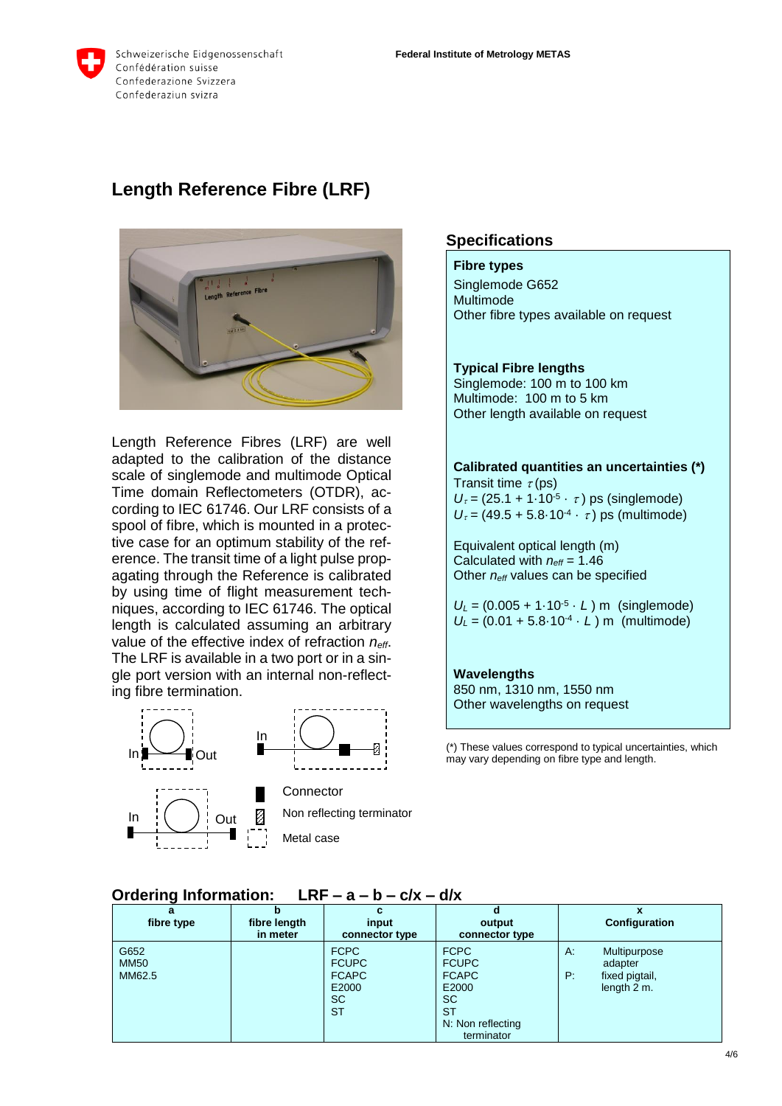

# **Length Reference Fibre (LRF)**



Length Reference Fibres (LRF) are well adapted to the calibration of the distance scale of singlemode and multimode Optical Time domain Reflectometers (OTDR), according to IEC 61746. Our LRF consists of a spool of fibre, which is mounted in a protective case for an optimum stability of the reference. The transit time of a light pulse propagating through the Reference is calibrated by using time of flight measurement techniques, according to IEC 61746. The optical length is calculated assuming an arbitrary value of the effective index of refraction *neff*. The LRF is available in a two port or in a single port version with an internal non-reflecting fibre termination.







In  $\begin{pmatrix} 1 & 1 \end{pmatrix}$  Out  $\begin{bmatrix} 1 & 1 \end{bmatrix}$  Non reflecting terminator **Connector** Metal case

### **Specifications**

#### **Fibre types**

Singlemode G652 Multimode Other fibre types available on request

#### **Typical Fibre lengths**

Singlemode: 100 m to 100 km Multimode: 100 m to 5 km Other length available on request

**Calibrated quantities an uncertainties (\*)** Transit time  $\tau$ (ps)  $U_{\tau} = (25.1 + 1.10^{-5} \cdot \tau)$  ps (singlemode)  $U_{\tau} = (49.5 + 5.8 \cdot 10^{-4} \cdot \tau)$  ps (multimode)

Equivalent optical length (m) Calculated with *neff* = 1.46 Other *neff* values can be specified

 $U_L = (0.005 + 1.10^{-5} \cdot L)$  m (singlemode)  $U_L = (0.01 + 5.8 \cdot 10^{-4} \cdot L)$  m (multimode)

#### **Wavelengths** 850 nm, 1310 nm, 1550 nm

Other wavelengths on request

(\*) These values correspond to typical uncertainties, which may vary depending on fibre type and length.

| fibre type  | fibre length<br>in meter | input<br>connector type | output<br>connector type | Configuration                  |  |
|-------------|--------------------------|-------------------------|--------------------------|--------------------------------|--|
| G652        |                          | FCPC                    | <b>FCPC</b>              | Multipurpose<br>A <sub>1</sub> |  |
| <b>MM50</b> |                          | <b>FCUPC</b>            | <b>FCUPC</b>             | adapter                        |  |
| MM62.5      |                          | <b>FCAPC</b>            | <b>FCAPC</b>             | fixed pigtail,<br>P:           |  |
|             |                          | E2000                   | E2000                    | length $2m$ .                  |  |

**SC ST** 

N: Non reflecting terminator

**SC ST** 

#### **Ordering Information: LRF – a – b – c/x – d/x**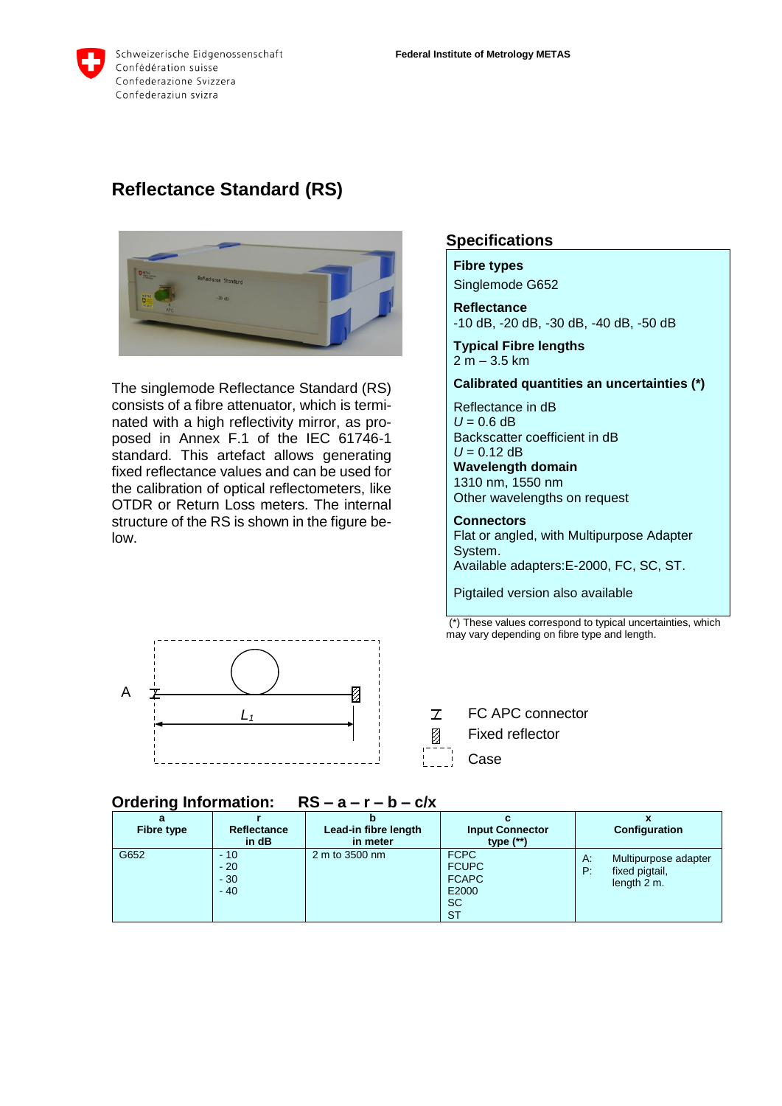# **Reflectance Standard (RS)**



The singlemode Reflectance Standard (RS) consists of a fibre attenuator, which is terminated with a high reflectivity mirror, as proposed in Annex F.1 of the IEC 61746-1 standard. This artefact allows generating fixed reflectance values and can be used for the calibration of optical reflectometers, like OTDR or Return Loss meters. The internal structure of the RS is shown in the figure below.



## **Specifications**

**Fibre types** Singlemode G652

**Reflectance** -10 dB, -20 dB, -30 dB, -40 dB, -50 dB

**Typical Fibre lengths** 2 m – 3.5 km

**Calibrated quantities an uncertainties (\*)**

Reflectance in dB  $U = 0.6$  dB Backscatter coefficient in dB  $U = 0.12$  dB **Wavelength domain** 1310 nm, 1550 nm Other wavelengths on request

**Connectors** Flat or angled, with Multipurpose Adapter System. Available adapters:E-2000, FC, SC, ST.

Pigtailed version also available

(\*) These values correspond to typical uncertainties, which may vary depending on fibre type and length.

FC APC connector  $\overline{L}$ 

- Fixed reflector
- Case

## **Ordering Information: RS – a – r – b – c/x**

| a<br>Fibre type | Reflectance<br>in dB             | Lead-in fibre length<br>in meter | <b>Input Connector</b><br>type $(**)$                                          | Configuration                                                     |
|-----------------|----------------------------------|----------------------------------|--------------------------------------------------------------------------------|-------------------------------------------------------------------|
| G652            | $-10$<br>$-20$<br>$-30$<br>$-40$ | 2 m to 3500 nm                   | <b>FCPC</b><br><b>FCUPC</b><br><b>FCAPC</b><br>E2000<br><b>SC</b><br><b>ST</b> | Α.<br>Multipurpose adapter<br>P:<br>fixed pigtail,<br>length 2 m. |